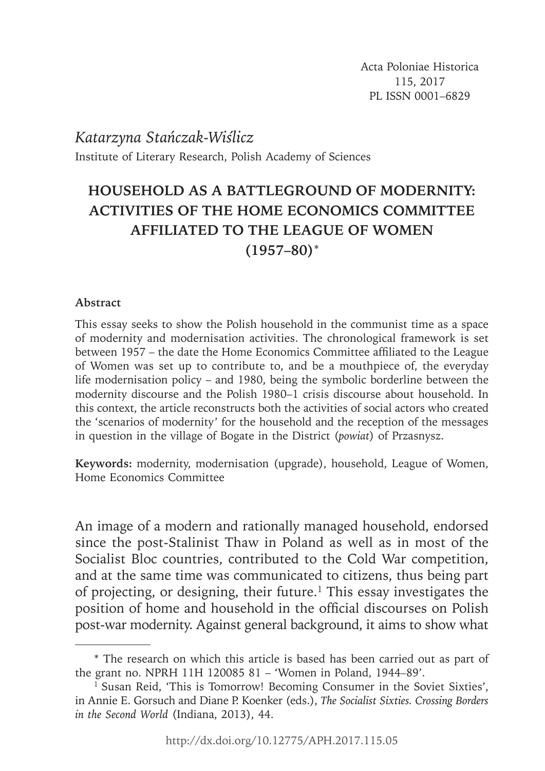Acta Poloniae Historica 115, 2017 PL ISSN 0001–6829

*Katarzyna Stańczak-Wiślicz* Institute of Literary Research, Polish Academy of Sciences

# **HOUSEHOLD AS A BATTLEGROUND OF MODERNITY: ACTIVITIES OF THE HOME ECONOMICS COMMITTEE AFFILIATED TO THE LEAGUE OF WOMEN (1957–80)**\*

### **Abstract**

This essay seeks to show the Polish household in the communist time as a space of modernity and modernisation activities. The chronological framework is set between 1957 – the date the Home Economics Committee affiliated to the League of Women was set up to contribute to, and be a mouthpiece of, the everyday life modernisation policy – and 1980, being the symbolic borderline between the modernity discourse and the Polish 1980–1 crisis discourse about household. In this context, the article reconstructs both the activities of social actors who created the 'scenarios of modernity' for the household and the reception of the messages in question in the village of Bogate in the District (*powiat*) of Przasnysz.

**Keywords:** modernity, modernisation (upgrade), household, League of Women, Home Economics Committee

An image of a modern and rationally managed household, endorsed since the post-Stalinist Thaw in Poland as well as in most of the Socialist Bloc countries, contributed to the Cold War competition, and at the same time was communicated to citizens, thus being part of projecting, or designing, their future.1 This essay investigates the position of home and household in the official discourses on Polish post-war modernity. Against general background, it aims to show what

<sup>\*</sup> The research on which this article is based has been carried out as part of the grant no. NPRH 11H 120085 81 – 'Women in Poland, 1944*–*89'.

<sup>&</sup>lt;sup>1</sup> Susan Reid, 'This is Tomorrow! Becoming Consumer in the Soviet Sixties', in Annie E. Gorsuch and Diane P. Koenker (eds.), *The Socialist Sixties. Crossing Borders in the Second World* (Indiana, 2013), 44.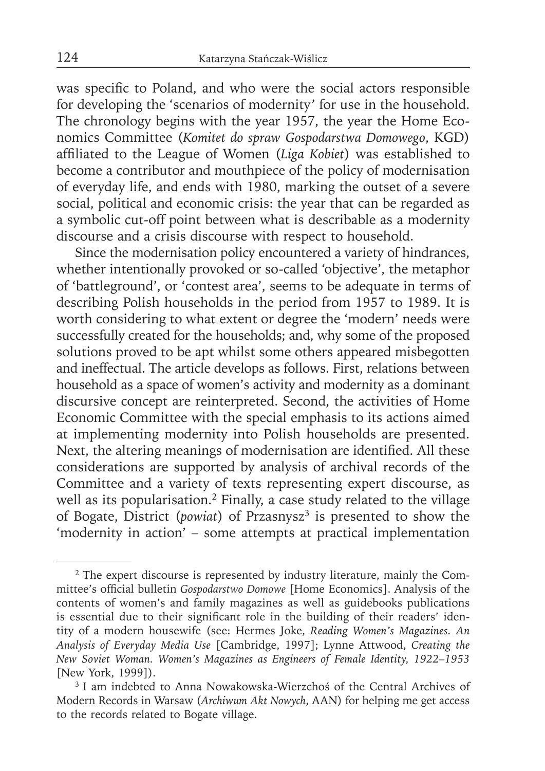was specific to Poland, and who were the social actors responsible for developing the 'scenarios of modernity' for use in the household. The chronology begins with the year 1957, the year the Home Economics Committee (*Komitet do spraw Gospodarstwa Domowego*, KGD) affiliated to the League of Women (*Liga Kobiet*) was established to become a contributor and mouthpiece of the policy of modernisation of everyday life, and ends with 1980, marking the outset of a severe social, political and economic crisis: the year that can be regarded as a symbolic cut-off point between what is describable as a modernity discourse and a crisis discourse with respect to household.

Since the modernisation policy encountered a variety of hindrances, whether intentionally provoked or so-called 'objective', the metaphor of 'battleground', or 'contest area', seems to be adequate in terms of describing Polish households in the period from 1957 to 1989. It is worth considering to what extent or degree the 'modern' needs were successfully created for the households; and, why some of the proposed solutions proved to be apt whilst some others appeared misbegotten and ineffectual. The article develops as follows. First, relations between household as a space of women's activity and modernity as a dominant discursive concept are reinterpreted. Second, the activities of Home Economic Committee with the special emphasis to its actions aimed at implementing modernity into Polish households are presented. Next, the altering meanings of modernisation are identified. All these considerations are supported by analysis of archival records of the Committee and a variety of texts representing expert discourse, as well as its popularisation.<sup>2</sup> Finally, a case study related to the village of Bogate, District (*powiat*) of Przasnysz<sup>3</sup> is presented to show the 'modernity in action' – some attempts at practical implementation

<sup>&</sup>lt;sup>2</sup> The expert discourse is represented by industry literature, mainly the Committee's official bulletin *Gospodarstwo Domowe* [Home Economics]. Analysis of the contents of women's and family magazines as well as guidebooks publications is essential due to their significant role in the building of their readers' identity of a modern housewife (see: Hermes Joke, *Reading Women's Magazines. An Analysis of Everyday Media Use* [Cambridge, 1997]; Lynne Attwood, *Creating the New Soviet Woman. Women's Magazines as Engineers of Female Identity, 1922–1953*  [New York, 1999]).

<sup>&</sup>lt;sup>3</sup> I am indebted to Anna Nowakowska-Wierzchoś of the Central Archives of Modern Records in Warsaw (*Archiwum Akt Nowych*, AAN) for helping me get access to the records related to Bogate village.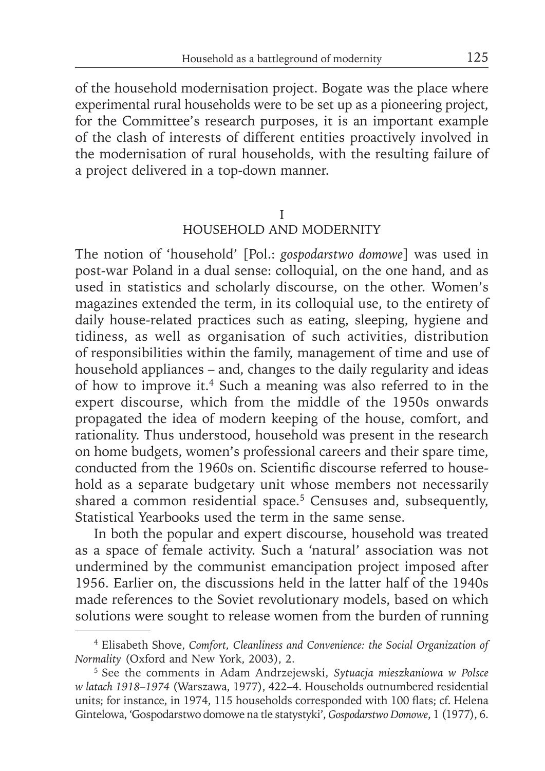of the household modernisation project. Bogate was the place where experimental rural households were to be set up as a pioneering project, for the Committee's research purposes, it is an important example of the clash of interests of different entities proactively involved in the modernisation of rural households, with the resulting failure of a project delivered in a top-down manner.

#### I

### HOUSEHOLD AND MODERNITY

The notion of 'household' [Pol.: *gospodarstwo domowe*] was used in post-war Poland in a dual sense: colloquial, on the one hand, and as used in statistics and scholarly discourse, on the other. Women's magazines extended the term, in its colloquial use, to the entirety of daily house-related practices such as eating, sleeping, hygiene and tidiness, as well as organisation of such activities, distribution of responsibilities within the family, management of time and use of household appliances – and, changes to the daily regularity and ideas of how to improve it.4 Such a meaning was also referred to in the expert discourse, which from the middle of the 1950s onwards propagated the idea of modern keeping of the house, comfort, and rationality. Thus understood, household was present in the research on home budgets, women's professional careers and their spare time, conducted from the 1960s on. Scientific discourse referred to household as a separate budgetary unit whose members not necessarily shared a common residential space.<sup>5</sup> Censuses and, subsequently, Statistical Yearbooks used the term in the same sense.

In both the popular and expert discourse, household was treated as a space of female activity. Such a 'natural' association was not undermined by the communist emancipation project imposed after 1956. Earlier on, the discussions held in the latter half of the 1940s made references to the Soviet revolutionary models, based on which solutions were sought to release women from the burden of running

<sup>4</sup> Elisabeth Shove, *Comfort, Cleanliness and Convenience: the Social Organization of Normality* (Oxford and New York, 2003), 2.

<sup>5</sup> See the comments in Adam Andrzejewski, *Sytuacja mieszkaniowa w Polsce w latach 1918–1974* (Warszawa, 1977), 422–4. Households outnumbered residential units; for instance, in 1974, 115 households corresponded with 100 flats; cf. Helena Gintelowa, 'Gospodarstwo domowe na tle statystyki', *Gospodarstwo Domowe*, 1 (1977), 6.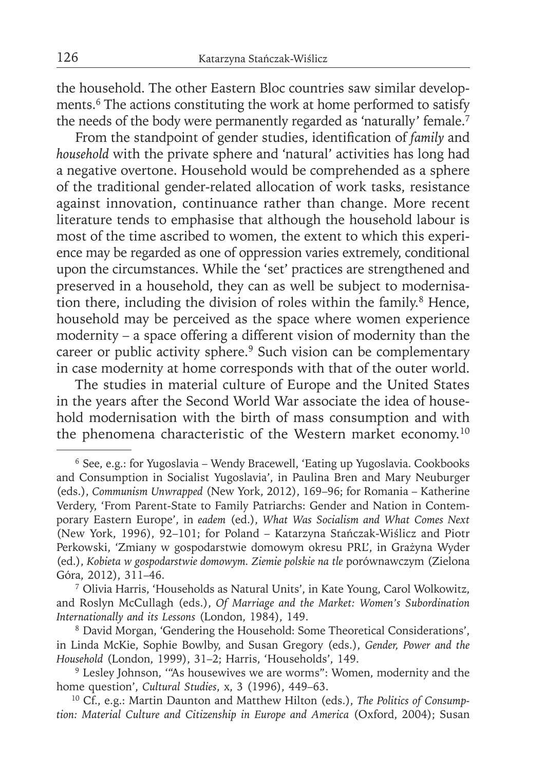the household. The other Eastern Bloc countries saw similar developments.<sup>6</sup> The actions constituting the work at home performed to satisfy the needs of the body were permanently regarded as 'naturally' female.<sup>7</sup>

From the standpoint of gender studies, identification of *family* and *household* with the private sphere and 'natural' activities has long had a negative overtone. Household would be comprehended as a sphere of the traditional gender-related allocation of work tasks, resistance against innovation, continuance rather than change. More recent literature tends to emphasise that although the household labour is most of the time ascribed to women, the extent to which this experience may be regarded as one of oppression varies extremely, conditional upon the circumstances. While the 'set' practices are strengthened and preserved in a household, they can as well be subject to modernisation there, including the division of roles within the family. $8$  Hence, household may be perceived as the space where women experience modernity – a space offering a different vision of modernity than the career or public activity sphere.<sup>9</sup> Such vision can be complementary in case modernity at home corresponds with that of the outer world.

The studies in material culture of Europe and the United States in the years after the Second World War associate the idea of household modernisation with the birth of mass consumption and with the phenomena characteristic of the Western market economy.<sup>10</sup>

<sup>6</sup> See, e.g.: for Yugoslavia – Wendy Bracewell, 'Eating up Yugoslavia. Cookbooks and Consumption in Socialist Yugoslavia', in Paulina Bren and Mary Neuburger (eds.), *Communism Unwrapped* (New York, 2012), 169–96; for Romania – Katherine Verdery, 'From Parent-State to Family Patriarchs: Gender and Nation in Contemporary Eastern Europe', in *eadem* (ed.), *What Was Socialism and What Comes Next* (New York, 1996), 92–101; for Poland – Katarzyna Stańczak-Wiślicz and Piotr Perkowski, 'Zmiany w gospodarstwie domowym okresu PRL', in Grażyna Wyder (ed.), *Kobieta w gospodarstwie domowym. Ziemie polskie na tle* porównawczym (Zielona Góra, 2012), 311–46.

<sup>&</sup>lt;sup>7</sup> Olivia Harris, 'Households as Natural Units', in Kate Young, Carol Wolkowitz, and Roslyn McCullagh (eds.), *Of Marriage and the Market: Women's Subordination Internationally and its Lessons* (London, 1984), 149.

<sup>8</sup> David Morgan, 'Gendering the Household: Some Theoretical Considerations', in Linda McKie, Sophie Bowlby, and Susan Gregory (eds.), *Gender, Power and the Household* (London, 1999), 31–2; Harris, 'Households', 149.

<sup>9</sup> Lesley Johnson, '"As housewives we are worms": Women, modernity and the home question', *Cultural Studies*, x, 3 (1996), 449–63.

<sup>10</sup> Cf., e.g.: Martin Daunton and Matthew Hilton (eds.), *The Politics of Consumption: Material Culture and Citizenship in Europe and America* (Oxford, 2004); Susan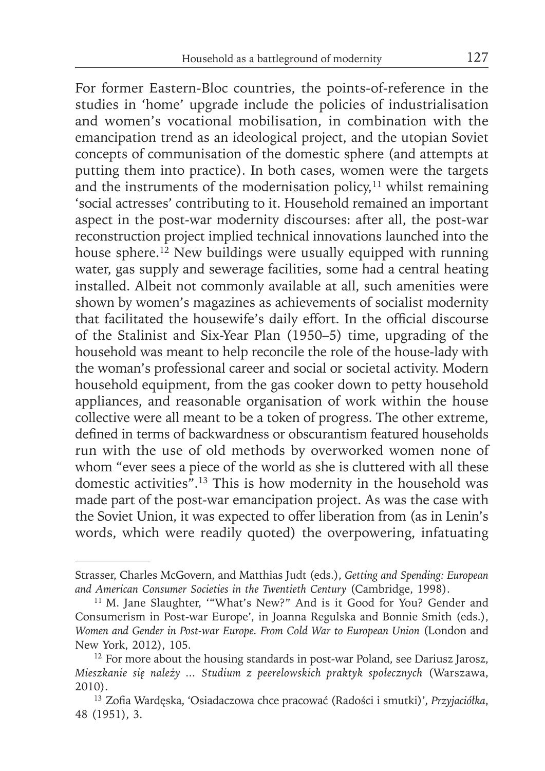For former Eastern-Bloc countries, the points-of-reference in the studies in 'home' upgrade include the policies of industrialisation and women's vocational mobilisation, in combination with the emancipation trend as an ideological project, and the utopian Soviet concepts of communisation of the domestic sphere (and attempts at putting them into practice). In both cases, women were the targets and the instruments of the modernisation policy, $11$  whilst remaining 'social actresses' contributing to it. Household remained an important aspect in the post-war modernity discourses: after all, the post-war reconstruction project implied technical innovations launched into the house sphere.<sup>12</sup> New buildings were usually equipped with running water, gas supply and sewerage facilities, some had a central heating installed. Albeit not commonly available at all, such amenities were shown by women's magazines as achievements of socialist modernity that facilitated the housewife's daily effort. In the official discourse of the Stalinist and Six-Year Plan (1950–5) time, upgrading of the household was meant to help reconcile the role of the house-lady with the woman's professional career and social or societal activity. Modern household equipment, from the gas cooker down to petty household appliances, and reasonable organisation of work within the house collective were all meant to be a token of progress. The other extreme, defined in terms of backwardness or obscurantism featured households run with the use of old methods by overworked women none of whom "ever sees a piece of the world as she is cluttered with all these domestic activities".13 This is how modernity in the household was made part of the post-war emancipation project. As was the case with the Soviet Union, it was expected to offer liberation from (as in Lenin's words, which were readily quoted) the overpowering, infatuating

Strasser, Charles McGovern, and Matthias Judt (eds.), *Getting and Spending: European and American Consumer Societies in the Twentieth Century* (Cambridge, 1998).

<sup>&</sup>lt;sup>11</sup> M. Jane Slaughter, "'What's New?" And is it Good for You? Gender and Consumerism in Post-war Europe', in Joanna Regulska and Bonnie Smith (eds.), *Women and Gender in Post-war Europe. From Cold War to European Union* (London and New York, 2012), 105.

<sup>&</sup>lt;sup>12</sup> For more about the housing standards in post-war Poland, see Dariusz Jarosz, *Mieszkanie się należy ... Studium z peerelowskich praktyk społecznych* (Warszawa, 2010).

<sup>&</sup>lt;sup>13</sup> Zofia Wardęska, 'Osiadaczowa chce pracować (Radości i smutki)', *Przyjaciółka*, 48 (1951), 3.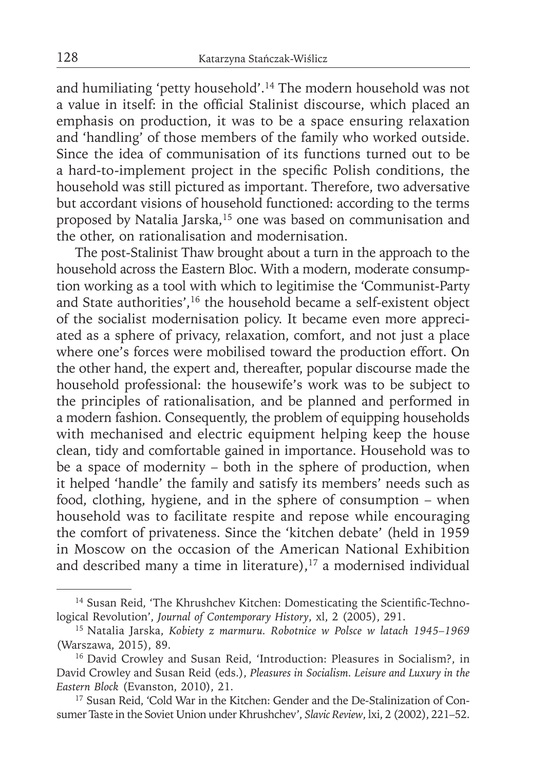and humiliating 'petty household'.14 The modern household was not a value in itself: in the official Stalinist discourse, which placed an emphasis on production, it was to be a space ensuring relaxation and 'handling' of those members of the family who worked outside. Since the idea of communisation of its functions turned out to be a hard-to-implement project in the specific Polish conditions, the household was still pictured as important. Therefore, two adversative but accordant visions of household functioned: according to the terms proposed by Natalia Jarska,<sup>15</sup> one was based on communisation and the other, on rationalisation and modernisation.

The post-Stalinist Thaw brought about a turn in the approach to the household across the Eastern Bloc. With a modern, moderate consumption working as a tool with which to legitimise the 'Communist-Party and State authorities',<sup>16</sup> the household became a self-existent object of the socialist modernisation policy. It became even more appreciated as a sphere of privacy, relaxation, comfort, and not just a place where one's forces were mobilised toward the production effort. On the other hand, the expert and, thereafter, popular discourse made the household professional: the housewife's work was to be subject to the principles of rationalisation, and be planned and performed in a modern fashion. Consequently, the problem of equipping households with mechanised and electric equipment helping keep the house clean, tidy and comfortable gained in importance. Household was to be a space of modernity – both in the sphere of production, when it helped 'handle' the family and satisfy its members' needs such as food, clothing, hygiene, and in the sphere of consumption – when household was to facilitate respite and repose while encouraging the comfort of privateness. Since the 'kitchen debate' (held in 1959 in Moscow on the occasion of the American National Exhibition and described many a time in literature), $17$  a modernised individual

<sup>&</sup>lt;sup>14</sup> Susan Reid, 'The Khrushchev Kitchen: Domesticating the Scientific-Technological Revolution', *Journal of Contemporary History*, xl, 2 (2005), 291.

<sup>15</sup> Natalia Jarska, *Kobiety z marmuru. Robotnice w Polsce w latach 1945–1969* (Warszawa, 2015), 89.

<sup>16</sup> David Crowley and Susan Reid, 'Introduction: Pleasures in Socialism?, in David Crowley and Susan Reid (eds.), *Pleasures in Socialism. Leisure and Luxury in the Eastern Block* (Evanston, 2010), 21.

<sup>17</sup> Susan Reid, 'Cold War in the Kitchen: Gender and the De-Stalinization of Consumer Taste in the Soviet Union under Khrushchev', *Slavic Review*, lxi, 2 (2002), 221–52.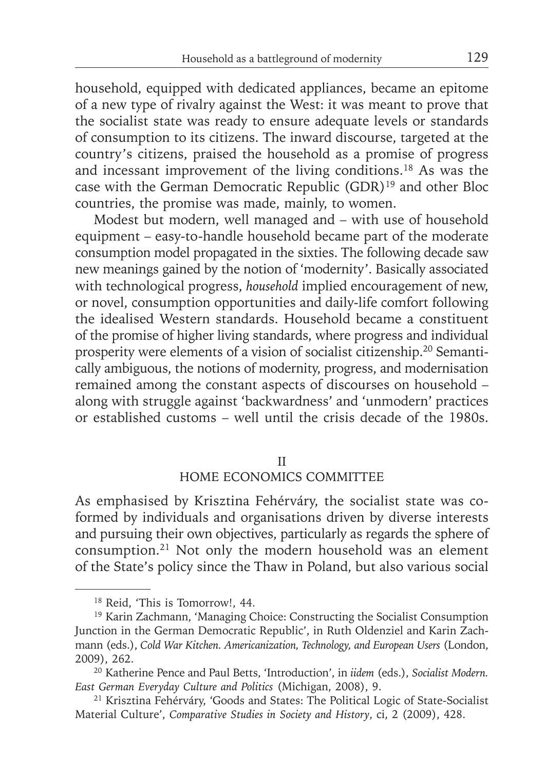household, equipped with dedicated appliances, became an epitome of a new type of rivalry against the West: it was meant to prove that the socialist state was ready to ensure adequate levels or standards of consumption to its citizens. The inward discourse, targeted at the country's citizens, praised the household as a promise of progress and incessant improvement of the living conditions.18 As was the case with the German Democratic Republic (GDR)19 and other Bloc countries, the promise was made, mainly, to women.

Modest but modern, well managed and – with use of household equipment – easy-to-handle household became part of the moderate consumption model propagated in the sixties. The following decade saw new meanings gained by the notion of 'modernity'. Basically associated with technological progress, *household* implied encouragement of new, or novel, consumption opportunities and daily-life comfort following the idealised Western standards. Household became a constituent of the promise of higher living standards, where progress and individual prosperity were elements of a vision of socialist citizenship.20 Semantically ambiguous, the notions of modernity, progress, and modernisation remained among the constant aspects of discourses on household – along with struggle against 'backwardness' and 'unmodern' practices or established customs – well until the crisis decade of the 1980s.

#### II

### HOME ECONOMICS COMMITTEE

As emphasised by Krisztina Fehérváry, the socialist state was coformed by individuals and organisations driven by diverse interests and pursuing their own objectives, particularly as regards the sphere of consumption.21 Not only the modern household was an element of the State's policy since the Thaw in Poland, but also various social

<sup>18</sup> Reid, 'This is Tomorrow!, 44.

<sup>19</sup> Karin Zachmann, 'Managing Choice: Constructing the Socialist Consumption Junction in the German Democratic Republic', in Ruth Oldenziel and Karin Zachmann (eds.), *Cold War Kitchen. Americanization, Technology, and European Users* (London, 2009), 262.

<sup>20</sup> Katherine Pence and Paul Betts, 'Introduction', in *iidem* (eds.), *Socialist Modern. East German Everyday Culture and Politics* (Michigan, 2008), 9.

<sup>21</sup> Krisztina Fehérváry, 'Goods and States: The Political Logic of State-Socialist Material Culture', *Comparative Studies in Society and History*, ci, 2 (2009), 428.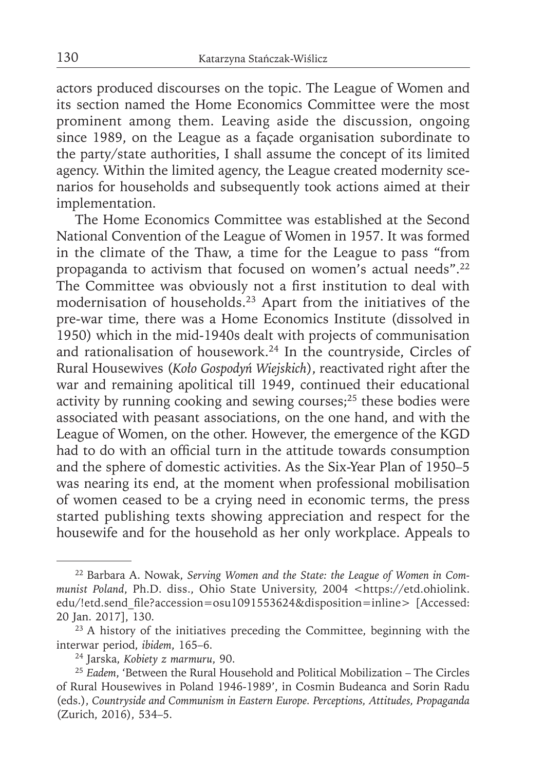actors produced discourses on the topic. The League of Women and its section named the Home Economics Committee were the most prominent among them. Leaving aside the discussion, ongoing since 1989, on the League as a façade organisation subordinate to the party/state authorities, I shall assume the concept of its limited agency. Within the limited agency, the League created modernity scenarios for households and subsequently took actions aimed at their implementation.

The Home Economics Committee was established at the Second National Convention of the League of Women in 1957. It was formed in the climate of the Thaw, a time for the League to pass "from propaganda to activism that focused on women's actual needs".22 The Committee was obviously not a first institution to deal with modernisation of households.23 Apart from the initiatives of the pre-war time, there was a Home Economics Institute (dissolved in 1950) which in the mid-1940s dealt with projects of communisation and rationalisation of housework.24 In the countryside, Circles of Rural Housewives (*Koło Gospodyń Wiejskich*), reactivated right after the war and remaining apolitical till 1949, continued their educational activity by running cooking and sewing courses;<sup>25</sup> these bodies were associated with peasant associations, on the one hand, and with the League of Women, on the other. However, the emergence of the KGD had to do with an official turn in the attitude towards consumption and the sphere of domestic activities. As the Six-Year Plan of 1950–5 was nearing its end, at the moment when professional mobilisation of women ceased to be a crying need in economic terms, the press started publishing texts showing appreciation and respect for the housewife and for the household as her only workplace. Appeals to

<sup>22</sup> Barbara A. Nowak, *Serving Women and the State: the League of Women in Communist Poland*, Ph.D. diss., Ohio State University, 2004 <https://etd.ohiolink. edu/!etd.send\_file?accession=osu1091553624&disposition=inline> [Accessed: 20 Jan. 2017], 130.

<sup>&</sup>lt;sup>23</sup> A history of the initiatives preceding the Committee, beginning with the interwar period, *ibidem*, 165–6.

<sup>24</sup> Jarska, *Kobiety z marmuru*, 90.

<sup>25</sup>*Eadem*, 'Between the Rural Household and Political Mobilization – The Circles of Rural Housewives in Poland 1946-1989', in Cosmin Budeanca and Sorin Radu (eds.), *Countryside and Communism in Eastern Europe. Perceptions, Attitudes, Propaganda* (Zurich, 2016), 534–5.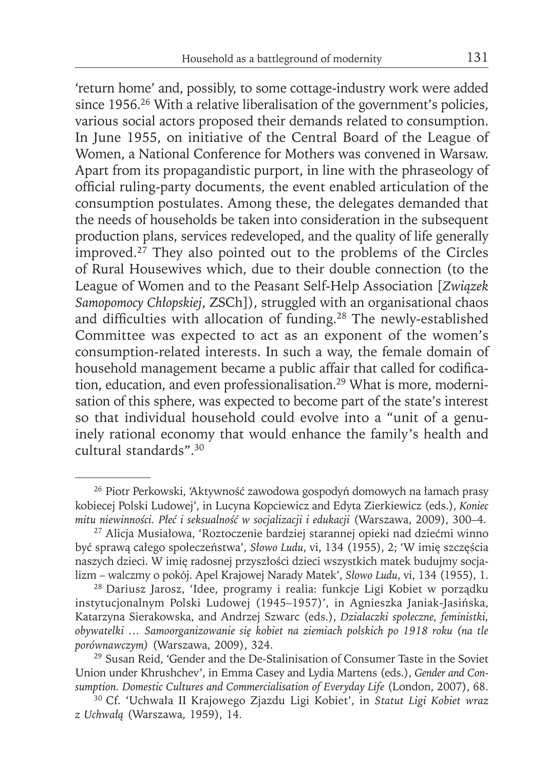'return home' and, possibly, to some cottage-industry work were added since 1956.<sup>26</sup> With a relative liberalisation of the government's policies, various social actors proposed their demands related to consumption. In June 1955, on initiative of the Central Board of the League of Women, a National Conference for Mothers was convened in Warsaw. Apart from its propagandistic purport, in line with the phraseology of official ruling-party documents, the event enabled articulation of the consumption postulates. Among these, the delegates demanded that the needs of households be taken into consideration in the subsequent production plans, services redeveloped, and the quality of life generally improved. $2^7$  They also pointed out to the problems of the Circles of Rural Housewives which, due to their double connection (to the League of Women and to the Peasant Self-Help Association [*Związek Samopomocy Chłopskiej*, ZSCh]), struggled with an organisational chaos and difficulties with allocation of funding.<sup>28</sup> The newly-established Committee was expected to act as an exponent of the women's consumption-related interests. In such a way, the female domain of household management became a public affair that called for codification, education, and even professionalisation.29 What is more, modernisation of this sphere, was expected to become part of the state's interest so that individual household could evolve into a "unit of a genuinely rational economy that would enhance the family's health and cultural standards".30

<sup>26</sup> Piotr Perkowski, 'Aktywność zawodowa gospodyń domowych na łamach prasy kobiecej Polski Ludowej', in Lucyna Kopciewicz and Edyta Zierkiewicz (eds.), *Koniec mitu niewinności. Płeć i seksualność w socjalizacji i edukacji* (Warszawa, 2009), 300–4.

<sup>27</sup> Alicja Musiałowa, 'Roztoczenie bardziej starannej opieki nad dziećmi winno być sprawą całego społeczeństwa', *Słowo Ludu*, vi, 134 (1955), 2; 'W imię szczęścia naszych dzieci. W imię radosnej przyszłości dzieci wszystkich matek budujmy socjalizm – walczmy o pokój. Apel Krajowej Narady Matek', *Słowo Ludu*, vi, 134 (1955), 1.

<sup>28</sup> Dariusz Jarosz, 'Idee, programy i realia: funkcje Ligi Kobiet w porządku instytucjonalnym Polski Ludowej (1945–1957)', in Agnieszka Janiak-Jasińska, Katarzyna Sierakowska, and Andrzej Szwarc (eds.), *Działaczki społeczne, feministki, obywatelki … Samoorganizowanie się kobiet na ziemiach polskich po 1918 roku (na tle porównawczym)* (Warszawa, 2009), 324.

<sup>29</sup> Susan Reid, 'Gender and the De-Stalinisation of Consumer Taste in the Soviet Union under Khrushchev', in Emma Casey and Lydia Martens (eds.), *Gender and Consumption. Domestic Cultures and Commercialisation of Everyday Life* (London, 2007), 68.

<sup>30</sup> Cf. 'Uchwała II Krajowego Zjazdu Ligi Kobiet', in *Statut Ligi Kobiet wraz z Uchwa łą* (Warszawa, 1959), 14.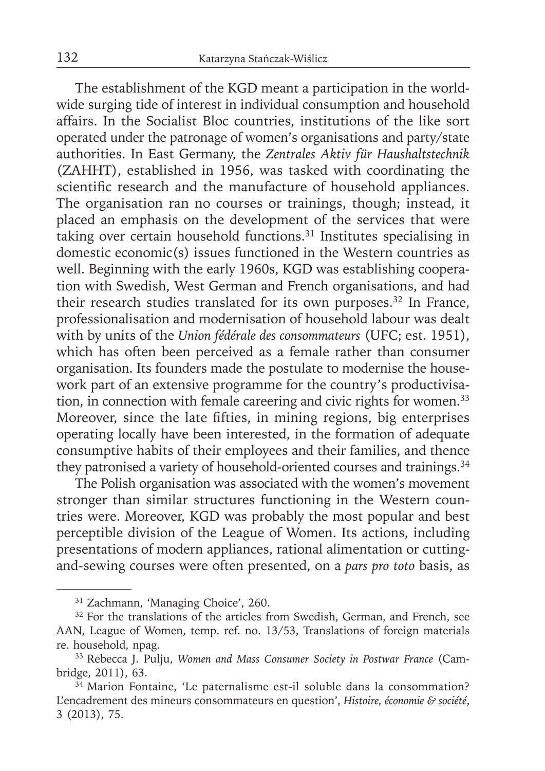The establishment of the KGD meant a participation in the worldwide surging tide of interest in individual consumption and household affairs. In the Socialist Bloc countries, institutions of the like sort operated under the patronage of women's organisations and party/state authorities. In East Germany, the *Zentrales Aktiv für Haushaltstechnik*  (ZAHHT), established in 1956, was tasked with coordinating the scientific research and the manufacture of household appliances. The organisation ran no courses or trainings, though; instead, it placed an emphasis on the development of the services that were taking over certain household functions.<sup>31</sup> Institutes specialising in domestic economic(s) issues functioned in the Western countries as well. Beginning with the early 1960s, KGD was establishing cooperation with Swedish, West German and French organisations, and had their research studies translated for its own purposes.<sup>32</sup> In France, professionalisation and modernisation of household labour was dealt with by units of the *Union fédérale des consommateurs* (UFC; est. 1951), which has often been perceived as a female rather than consumer organisation. Its founders made the postulate to modernise the housework part of an extensive programme for the country's productivisation, in connection with female careering and civic rights for women.<sup>33</sup> Moreover, since the late fifties, in mining regions, big enterprises operating locally have been interested, in the formation of adequate consumptive habits of their employees and their families, and thence they patronised a variety of household-oriented courses and trainings.<sup>34</sup>

The Polish organisation was associated with the women's movement stronger than similar structures functioning in the Western countries were. Moreover, KGD was probably the most popular and best perceptible division of the League of Women. Its actions, including presentations of modern appliances, rational alimentation or cuttingand-sewing courses were often presented, on a *pars pro toto* basis, as

<sup>31</sup> Zachmann, 'Managing Choice', 260.

<sup>&</sup>lt;sup>32</sup> For the translations of the articles from Swedish, German, and French, see AAN, League of Women, temp. ref. no. 13/53, Translations of foreign materials re. household, npag.

<sup>33</sup> Rebecca J. Pulju, *Women and Mass Consumer Society in Postwar France* (Cambridge, 2011), 63.

<sup>34</sup> Marion Fontaine, 'Le paternalisme est-il soluble dans la consommation? L'encadrement des mineurs consommateurs en question', *Histoire, économie & société*, 3 (2013), 75.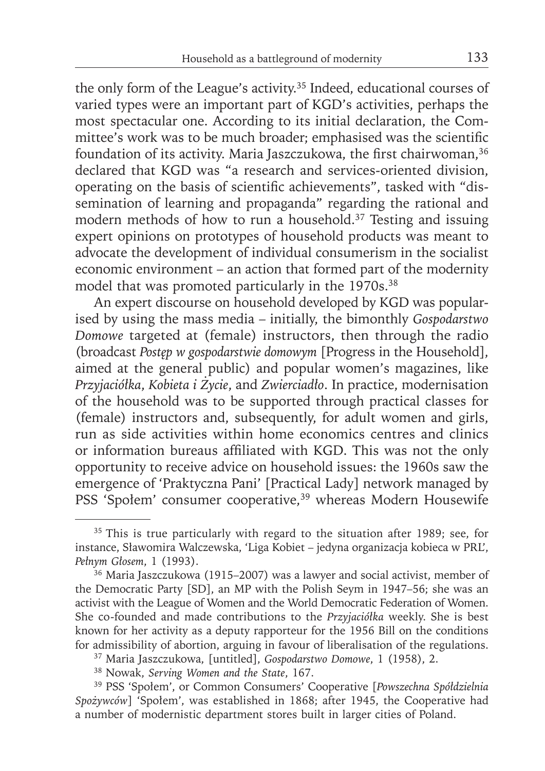the only form of the League's activity.35 Indeed, educational courses of varied types were an important part of KGD's activities, perhaps the most spectacular one. According to its initial declaration, the Committee's work was to be much broader; emphasised was the scientific foundation of its activity. Maria Jaszczukowa, the first chairwoman,<sup>36</sup> declared that KGD was "a research and services-oriented division, operating on the basis of scientific achievements", tasked with "dissemination of learning and propaganda" regarding the rational and modern methods of how to run a household.37 Testing and issuing expert opinions on prototypes of household products was meant to advocate the development of individual consumerism in the socialist economic environment – an action that formed part of the modernity model that was promoted particularly in the 1970s.<sup>38</sup>

An expert discourse on household developed by KGD was popularised by using the mass media – initially, the bimonthly *Gospodarstwo Domowe* targeted at (female) instructors, then through the radio (broadcast *Postęp w gospodarstwie domowym* [Progress in the Household], aimed at the general public) and popular women's magazines, like *Przyjaciółka*, *Kobieta i Życie*, and *Zwierciadło*. In practice, modernisation of the household was to be supported through practical classes for (female) instructors and, subsequently, for adult women and girls, run as side activities within home economics centres and clinics or information bureaus affiliated with KGD. This was not the only opportunity to receive advice on household issues: the 1960s saw the emergence of 'Praktyczna Pani' [Practical Lady] network managed by PSS 'Społem' consumer cooperative,<sup>39</sup> whereas Modern Housewife

<sup>&</sup>lt;sup>35</sup> This is true particularly with regard to the situation after 1989; see, for instance, Sławomira Walczewska, 'Liga Kobiet – jedyna organizacja kobieca w PRL', *Pełnym Głosem*, 1 (1993).

<sup>36</sup> Maria Jaszczukowa (1915–2007) was a lawyer and social activist, member of the Democratic Party [SD], an MP with the Polish Seym in 1947–56; she was an activist with the League of Women and the World Democratic Federation of Women. She co-founded and made contributions to the *Przyjaciółka* weekly. She is best known for her activity as a deputy rapporteur for the 1956 Bill on the conditions for admissibility of abortion, arguing in favour of liberalisation of the regulations.

<sup>37</sup> Maria Jaszczukowa, [untitled], *Gospodarstwo Domowe*, 1 (1958), 2.

<sup>38</sup> Nowak, *Serving Women and the State*, 167.

<sup>39</sup> PSS 'Społem', or Common Consumers' Cooperative [*Powszechna Spółdzielnia Spożywców*] 'Społem', was established in 1868; after 1945, the Cooperative had a number of modernistic department stores built in larger cities of Poland.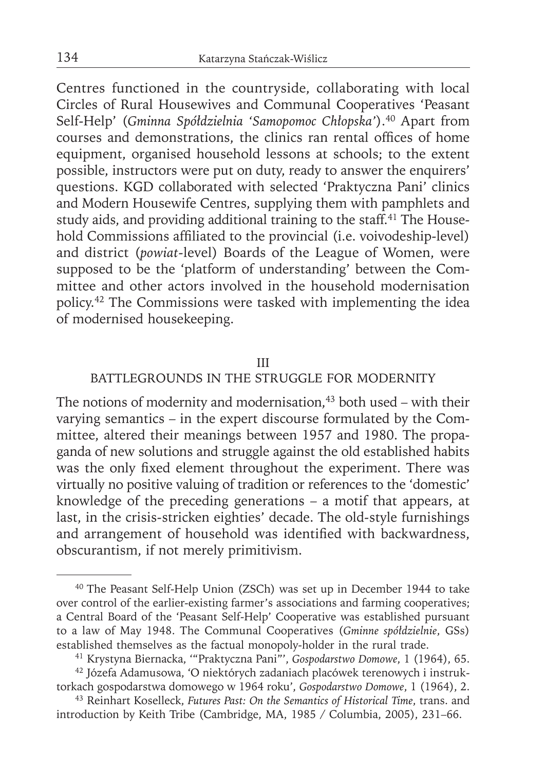Centres functioned in the countryside, collaborating with local Circles of Rural Housewives and Communal Cooperatives 'Peasant Self-Help' (*Gminna Spółdzielnia 'Samopomoc Chłopska'*).40 Apart from courses and demonstrations, the clinics ran rental offices of home equipment, organised household lessons at schools; to the extent possible, instructors were put on duty, ready to answer the enquirers' questions. KGD collaborated with selected 'Praktyczna Pani' clinics and Modern Housewife Centres, supplying them with pamphlets and study aids, and providing additional training to the staff.<sup>41</sup> The Household Commissions affiliated to the provincial (i.e. voivodeship-level) and district (*powiat*-level) Boards of the League of Women, were supposed to be the 'platform of understanding' between the Committee and other actors involved in the household modernisation policy.42 The Commissions were tasked with implementing the idea of modernised housekeeping.

### III

## BATTLEGROUNDS IN THE STRUGGLE FOR MODERNITY

The notions of modernity and modernisation, $43$  both used – with their varying semantics – in the expert discourse formulated by the Committee, altered their meanings between 1957 and 1980. The propaganda of new solutions and struggle against the old established habits was the only fixed element throughout the experiment. There was virtually no positive valuing of tradition or references to the 'domestic' knowledge of the preceding generations – a motif that appears, at last, in the crisis-stricken eighties' decade. The old-style furnishings and arrangement of household was identified with backwardness, obscurantism, if not merely primitivism.

<sup>40</sup> The Peasant Self-Help Union (ZSCh) was set up in December 1944 to take over control of the earlier-existing farmer's associations and farming cooperatives; a Central Board of the 'Peasant Self-Help' Cooperative was established pursuant to a law of May 1948. The Communal Cooperatives (*Gminne spółdzielnie*, GSs) established themselves as the factual monopoly-holder in the rural trade.

<sup>41</sup> Krystyna Biernacka, '"Praktyczna Pani"', *Gospodarstwo Domowe*, 1 (1964), 65. 42 Józefa Adamusowa, 'O niektórych zadaniach placówek terenowych i instruk-

torkach gospodarstwa domowego w 1964 roku', *Gospodarstwo Domowe*, 1 (1964), 2. 43 Reinhart Koselleck, *Futures Past: On the Semantics of Historical Time*, trans. and

introduction by Keith Tribe (Cambridge, MA, 1985 / Columbia, 2005), 231–66.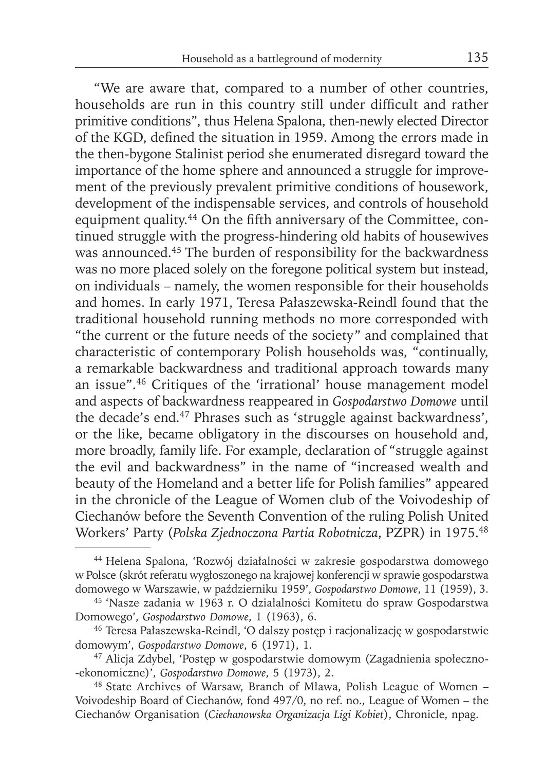"We are aware that, compared to a number of other countries, households are run in this country still under difficult and rather primitive conditions", thus Helena Spalona, then-newly elected Director of the KGD, defined the situation in 1959. Among the errors made in the then-bygone Stalinist period she enumerated disregard toward the importance of the home sphere and announced a struggle for improvement of the previously prevalent primitive conditions of housework, development of the indispensable services, and controls of household equipment quality.<sup>44</sup> On the fifth anniversary of the Committee, continued struggle with the progress-hindering old habits of housewives was announced.<sup>45</sup> The burden of responsibility for the backwardness was no more placed solely on the foregone political system but instead, on individuals – namely, the women responsible for their households and homes. In early 1971, Teresa Pałaszewska-Reindl found that the traditional household running methods no more corresponded with "the current or the future needs of the society" and complained that characteristic of contemporary Polish households was, "continually, a remarkable backwardness and traditional approach towards many an issue".46 Critiques of the 'irrational' house management model and aspects of backwardness reappeared in *Gospodarstwo Domowe* until the decade's end.47 Phrases such as 'struggle against backwardness', or the like, became obligatory in the discourses on household and, more broadly, family life. For example, declaration of "struggle against the evil and backwardness" in the name of "increased wealth and beauty of the Homeland and a better life for Polish families" appeared in the chronicle of the League of Women club of the Voivodeship of Ciechanów before the Seventh Convention of the ruling Polish United Workers' Party (*Polska Zjednoczona Partia Robotnicza*, PZPR) in 1975.48

<sup>44</sup> Helena Spalona, 'Rozwój działalności w zakresie gospodarstwa domowego w Polsce (skrót referatu wygłoszonego na krajowej konferencji w sprawie gospodarstwa domowego w Warszawie, w październiku 1959', *Gospodarstwo Domowe*, 11 (1959), 3.

<sup>45 &#</sup>x27;Nasze zadania w 1963 r. O działalności Komitetu do spraw Gospodarstwa Domowego', *Gospodarstwo Domowe*, 1 (1963), 6.

<sup>46</sup> Teresa Pałaszewska-Reindl, 'O dalszy postęp i racjonalizację w gospodarstwie domowym', *Gospodarstwo Domowe*, 6 (1971), 1.

<sup>47</sup> Alicja Zdybel, 'Postęp w gospodarstwie domowym (Zagadnienia społeczno- -ekonomiczne)', *Gospodarstwo Domowe*, 5 (1973), 2.

<sup>48</sup> State Archives of Warsaw, Branch of Mława, Polish League of Women – Voivodeship Board of Ciechanów, fond 497/0, no ref. no., League of Women – the Ciechanów Organisation (*Ciechanowska Organizacja Ligi Kobiet*), Chronicle, npag.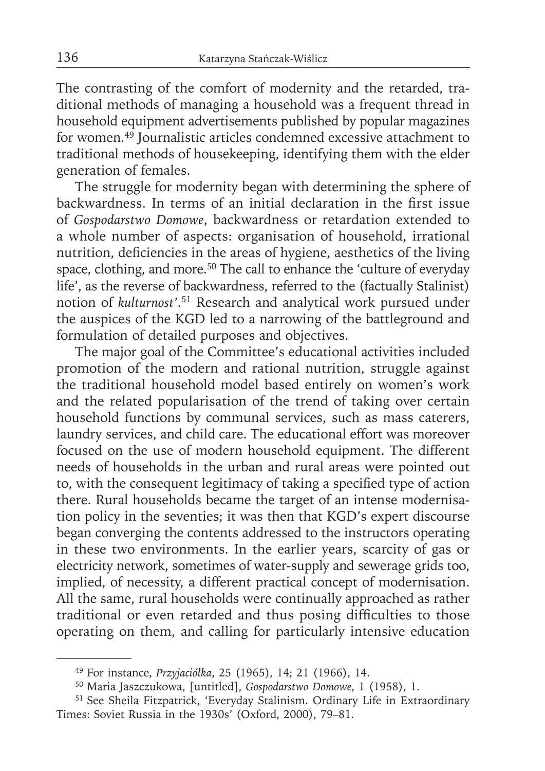The contrasting of the comfort of modernity and the retarded, traditional methods of managing a household was a frequent thread in household equipment advertisements published by popular magazines for women.49 Journalistic articles condemned excessive attachment to traditional methods of housekeeping, identifying them with the elder generation of females.

The struggle for modernity began with determining the sphere of backwardness. In terms of an initial declaration in the first issue of *Gospodarstwo Domowe*, backwardness or retardation extended to a whole number of aspects: organisation of household, irrational nutrition, deficiencies in the areas of hygiene, aesthetics of the living space, clothing, and more.<sup>50</sup> The call to enhance the 'culture of everyday life', as the reverse of backwardness, referred to the (factually Stalinist) notion of *kulturnost'*. 51 Research and analytical work pursued under the auspices of the KGD led to a narrowing of the battleground and formulation of detailed purposes and objectives.

The major goal of the Committee's educational activities included promotion of the modern and rational nutrition, struggle against the traditional household model based entirely on women's work and the related popularisation of the trend of taking over certain household functions by communal services, such as mass caterers, laundry services, and child care. The educational effort was moreover focused on the use of modern household equipment. The different needs of households in the urban and rural areas were pointed out to, with the consequent legitimacy of taking a specified type of action there. Rural households became the target of an intense modernisation policy in the seventies; it was then that KGD's expert discourse began converging the contents addressed to the instructors operating in these two environments. In the earlier years, scarcity of gas or electricity network, sometimes of water-supply and sewerage grids too, implied, of necessity, a different practical concept of modernisation. All the same, rural households were continually approached as rather traditional or even retarded and thus posing difficulties to those operating on them, and calling for particularly intensive education

<sup>49</sup> For instance, *Przyjaciółka*, 25 (1965), 14; 21 (1966), 14.

<sup>50</sup> Maria Jaszczukowa, [untitled], *Gospodarstwo Domowe*, 1 (1958), 1.

<sup>51</sup> See Sheila Fitzpatrick, 'Everyday Stalinism. Ordinary Life in Extraordinary Times: Soviet Russia in the 1930s' (Oxford, 2000), 79–81.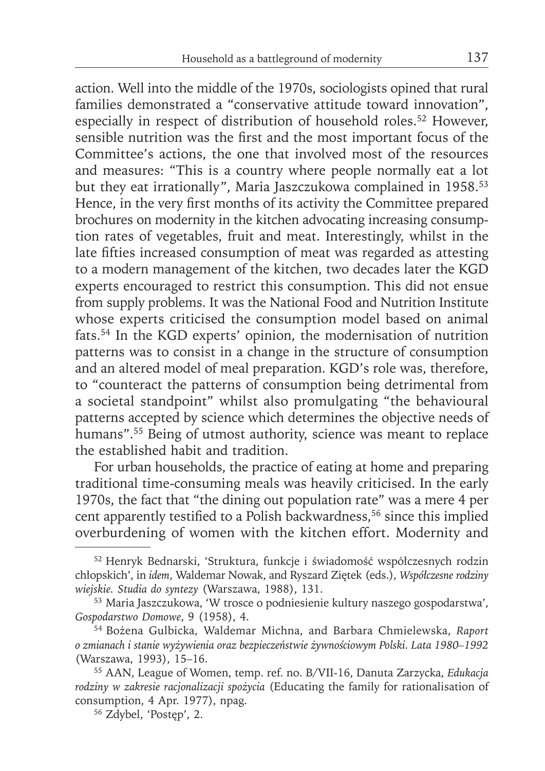action. Well into the middle of the 1970s, sociologists opined that rural families demonstrated a "conservative attitude toward innovation", especially in respect of distribution of household roles.<sup>52</sup> However, sensible nutrition was the first and the most important focus of the Committee's actions, the one that involved most of the resources and measures: "This is a country where people normally eat a lot but they eat irrationally", Maria Jaszczukowa complained in 1958.<sup>53</sup> Hence, in the very first months of its activity the Committee prepared brochures on modernity in the kitchen advocating increasing consumption rates of vegetables, fruit and meat. Interestingly, whilst in the late fifties increased consumption of meat was regarded as attesting to a modern management of the kitchen, two decades later the KGD experts encouraged to restrict this consumption. This did not ensue from supply problems. It was the National Food and Nutrition Institute whose experts criticised the consumption model based on animal fats.54 In the KGD experts' opinion, the modernisation of nutrition patterns was to consist in a change in the structure of consumption and an altered model of meal preparation. KGD's role was, therefore, to "counteract the patterns of consumption being detrimental from a societal standpoint" whilst also promulgating "the behavioural patterns accepted by science which determines the objective needs of humans".55 Being of utmost authority, science was meant to replace the established habit and tradition.

For urban households, the practice of eating at home and preparing traditional time-consuming meals was heavily criticised. In the early 1970s, the fact that "the dining out population rate" was a mere 4 per cent apparently testified to a Polish backwardness,<sup>56</sup> since this implied overburdening of women with the kitchen effort. Modernity and

<sup>52</sup> Henryk Bednarski, 'Struktura, funkcje i świadomość współczesnych rodzin chłopskich', in *idem*, Waldemar Nowak, and Ryszard Ziętek (eds.), *Współczesne rodziny wiejskie. Studia do syntezy* (Warszawa, 1988), 131.

<sup>53</sup> Maria Jaszczukowa, 'W trosce o podniesienie kultury naszego gospodarstwa', *Gospodarstwo Domowe*, 9 (1958), 4.

<sup>54</sup> Bożena Gulbicka, Waldemar Michna, and Barbara Chmielewska, *Raport o zmianach i stanie wyżywienia oraz bezpieczeństwie żywnościowym Polski. Lata 1980–1992* (Warszawa, 1993), 15–16.

<sup>55</sup> AAN, League of Women, temp. ref. no. B/VII-16, Danuta Zarzycka, *Edukacja rodziny w zakresie racjonalizacji spożycia* (Educating the family for rationalisation of consumption, 4 Apr. 1977), npag.

<sup>56</sup> Zdybel, 'Postęp', 2.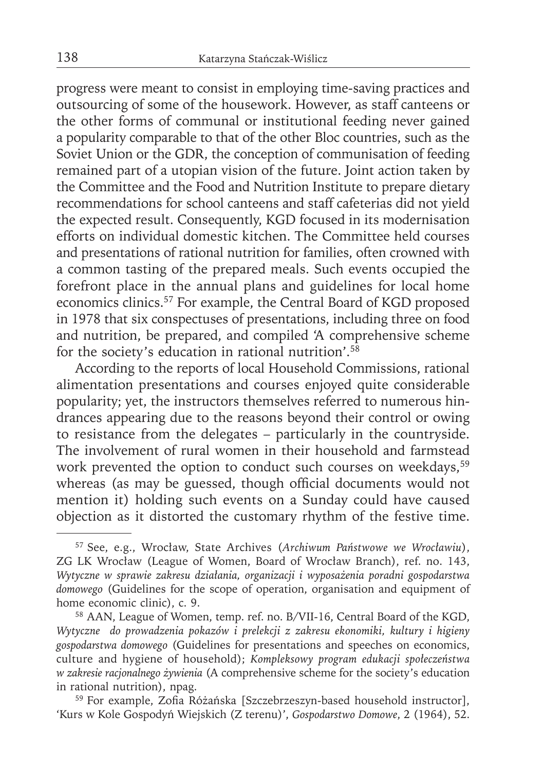progress were meant to consist in employing time-saving practices and outsourcing of some of the housework. However, as staff canteens or the other forms of communal or institutional feeding never gained a popularity comparable to that of the other Bloc countries, such as the Soviet Union or the GDR, the conception of communisation of feeding remained part of a utopian vision of the future. Joint action taken by the Committee and the Food and Nutrition Institute to prepare dietary recommendations for school canteens and staff cafeterias did not yield the expected result. Consequently, KGD focused in its modernisation efforts on individual domestic kitchen. The Committee held courses and presentations of rational nutrition for families, often crowned with a common tasting of the prepared meals. Such events occupied the forefront place in the annual plans and guidelines for local home economics clinics.57 For example, the Central Board of KGD proposed in 1978 that six conspectuses of presentations, including three on food and nutrition, be prepared, and compiled 'A comprehensive scheme for the society's education in rational nutrition'.58

According to the reports of local Household Commissions, rational alimentation presentations and courses enjoyed quite considerable popularity; yet, the instructors themselves referred to numerous hindrances appearing due to the reasons beyond their control or owing to resistance from the delegates – particularly in the countryside. The involvement of rural women in their household and farmstead work prevented the option to conduct such courses on weekdays,<sup>59</sup> whereas (as may be guessed, though official documents would not mention it) holding such events on a Sunday could have caused objection as it distorted the customary rhythm of the festive time.

<sup>57</sup> See, e.g., Wrocław, State Archives (*Archiwum Państwowe we Wrocławiu*), ZG LK Wrocław (League of Women, Board of Wrocław Branch), ref. no. 143, *Wytyczne w sprawie zakresu działania, organizacji i wyposażenia poradni gospodarstwa domowego* (Guidelines for the scope of operation, organisation and equipment of home economic clinic), c. 9.

<sup>58</sup> AAN, League of Women, temp. ref. no. B/VII-16, Central Board of the KGD, *Wytyczne do prowadzenia pokazów i prelekcji z zakresu ekonomiki, kultury i higieny gospodarstwa domowego* (Guidelines for presentations and speeches on economics, culture and hygiene of household); *Kompleksowy program edukacji społeczeństwa w zakresie racjonalnego żywienia* (A comprehensive scheme for the society's education in rational nutrition), npag.

<sup>&</sup>lt;sup>59</sup> For example, Zofia Różańska [Szczebrzeszyn-based household instructor], 'Kurs w Kole Gospodyń Wiejskich (Z terenu)', *Gospodarstwo Domowe*, 2 (1964), 52.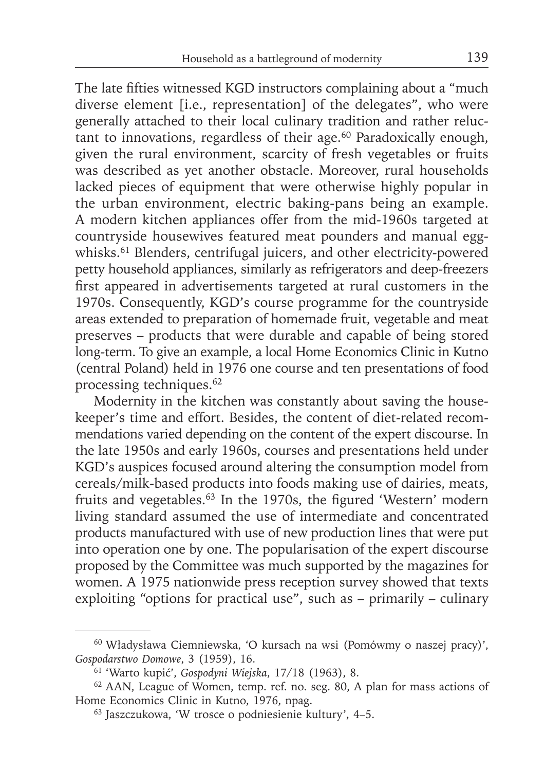The late fifties witnessed KGD instructors complaining about a "much" diverse element [i.e., representation] of the delegates", who were generally attached to their local culinary tradition and rather reluctant to innovations, regardless of their age.60 Paradoxically enough, given the rural environment, scarcity of fresh vegetables or fruits was described as yet another obstacle. Moreover, rural households lacked pieces of equipment that were otherwise highly popular in the urban environment, electric baking-pans being an example. A modern kitchen appliances offer from the mid-1960s targeted at countryside housewives featured meat pounders and manual eggwhisks.<sup>61</sup> Blenders, centrifugal juicers, and other electricity-powered petty household appliances, similarly as refrigerators and deep-freezers first appeared in advertisements targeted at rural customers in the 1970s. Consequently, KGD's course programme for the countryside areas extended to preparation of homemade fruit, vegetable and meat preserves – products that were durable and capable of being stored long-term. To give an example, a local Home Economics Clinic in Kutno (central Poland) held in 1976 one course and ten presentations of food processing techniques.<sup>62</sup>

Modernity in the kitchen was constantly about saving the housekeeper's time and effort. Besides, the content of diet-related recommendations varied depending on the content of the expert discourse. In the late 1950s and early 1960s, courses and presentations held under KGD's auspices focused around altering the consumption model from cereals/milk-based products into foods making use of dairies, meats, fruits and vegetables.<sup>63</sup> In the 1970s, the figured 'Western' modern living standard assumed the use of intermediate and concentrated products manufactured with use of new production lines that were put into operation one by one. The popularisation of the expert discourse proposed by the Committee was much supported by the magazines for women. A 1975 nationwide press reception survey showed that texts exploiting "options for practical use", such as  $-$  primarily  $-$  culinary

<sup>60</sup> Władysława Ciemniewska, 'O kursach na wsi (Pomówmy o naszej pracy)', *Gospodarstwo Domowe*, 3 (1959), 16.

<sup>61 &#</sup>x27;Warto kupić', *Gospodyni Wiejska*, 17/18 (1963), 8.

<sup>62</sup> AAN, League of Women, temp. ref. no. seg. 80, A plan for mass actions of Home Economics Clinic in Kutno, 1976, npag.

<sup>63</sup> Jaszczukowa, 'W trosce o podniesienie kultury', 4–5.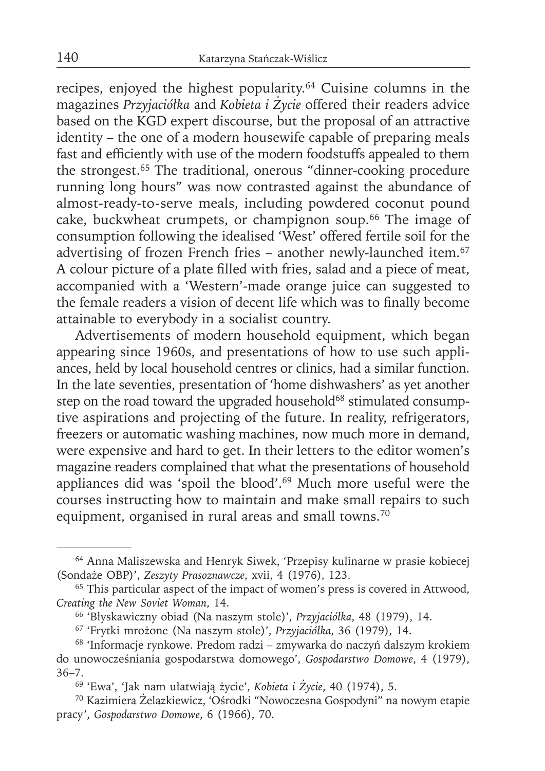recipes, enjoyed the highest popularity.64 Cuisine columns in the magazines *Przyjaciółka* and *Kobieta i Życie* offered their readers advice based on the KGD expert discourse, but the proposal of an attractive identity – the one of a modern housewife capable of preparing meals fast and efficiently with use of the modern foodstuffs appealed to them the strongest.65 The traditional, onerous "dinner-cooking procedure running long hours" was now contrasted against the abundance of almost-ready-to-serve meals, including powdered coconut pound cake, buckwheat crumpets, or champignon soup.66 The image of consumption following the idealised 'West' offered fertile soil for the advertising of frozen French fries – another newly-launched item.<sup>67</sup> A colour picture of a plate filled with fries, salad and a piece of meat, accompanied with a 'Western'-made orange juice can suggested to the female readers a vision of decent life which was to finally become attainable to everybody in a socialist country.

Advertisements of modern household equipment, which began appearing since 1960s, and presentations of how to use such appliances, held by local household centres or clinics, had a similar function. In the late seventies, presentation of 'home dishwashers' as yet another step on the road toward the upgraded household<sup>68</sup> stimulated consumptive aspirations and projecting of the future. In reality, refrigerators, freezers or automatic washing machines, now much more in demand, were expensive and hard to get. In their letters to the editor women's magazine readers complained that what the presentations of household appliances did was 'spoil the blood'.69 Much more useful were the courses instructing how to maintain and make small repairs to such equipment, organised in rural areas and small towns.<sup>70</sup>

<sup>64</sup> Anna Maliszewska and Henryk Siwek, 'Przepisy kulinarne w prasie kobiecej (Sondaże OBP)', *Zeszyty Prasoznawcze*, xvii, 4 (1976), 123.

<sup>&</sup>lt;sup>65</sup> This particular aspect of the impact of women's press is covered in Attwood, *Creating the New Soviet Woman*, 14.

<sup>66 &#</sup>x27;Błyskawiczny obiad (Na naszym stole)', *Przyjaciółka*, 48 (1979), 14.

<sup>67 &#</sup>x27;Frytki mrożone (Na naszym stole)', *Przyjaciółka*, 36 (1979), 14.

<sup>68 &#</sup>x27;Informacje rynkowe. Predom radzi – zmywarka do naczyń dalszym krokiem do unowocześniania gospodarstwa domowego', *Gospodarstwo Domowe*, 4 (1979), 36–7.

<sup>69 &#</sup>x27;Ewa', 'Jak nam ułatwiają życie', *Kobieta i Życie*, 40 (1974), 5.

<sup>70</sup> Kazimiera Żelazkiewicz, 'Ośrodki "Nowoczesna Gospodyni" na nowym etapie pracy', *Gospodarstwo Domowe*, 6 (1966), 70.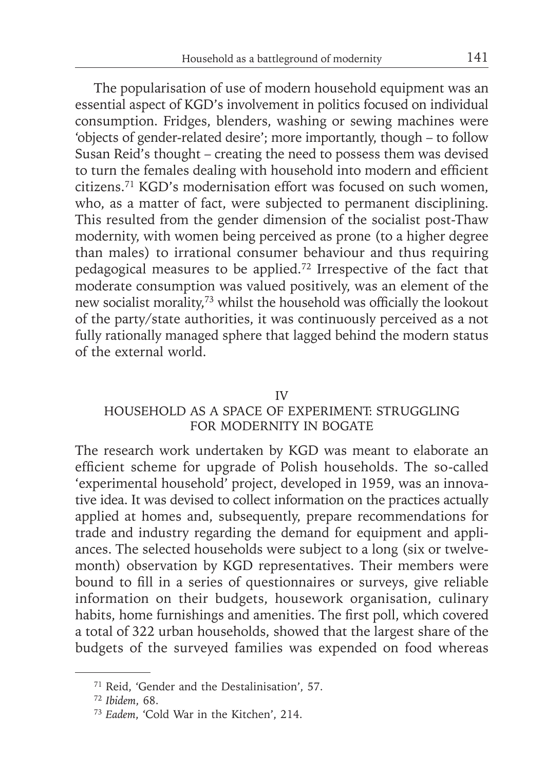The popularisation of use of modern household equipment was an essential aspect of KGD's involvement in politics focused on individual consumption. Fridges, blenders, washing or sewing machines were 'objects of gender-related desire'; more importantly, though – to follow Susan Reid's thought – creating the need to possess them was devised to turn the females dealing with household into modern and efficient citizens.71 KGD's modernisation effort was focused on such women, who, as a matter of fact, were subjected to permanent disciplining. This resulted from the gender dimension of the socialist post-Thaw modernity, with women being perceived as prone (to a higher degree than males) to irrational consumer behaviour and thus requiring pedagogical measures to be applied.72 Irrespective of the fact that moderate consumption was valued positively, was an element of the new socialist morality,<sup>73</sup> whilst the household was officially the lookout of the party/state authorities, it was continuously perceived as a not fully rationally managed sphere that lagged behind the modern status of the external world.

### IV

# HOUSEHOLD AS A SPACE OF EXPERIMENT: STRUGGLING FOR MODERNITY IN BOGATE

The research work undertaken by KGD was meant to elaborate an efficient scheme for upgrade of Polish households. The so-called 'experimental household' project, developed in 1959, was an innovative idea. It was devised to collect information on the practices actually applied at homes and, subsequently, prepare recommendations for trade and industry regarding the demand for equipment and appliances. The selected households were subject to a long (six or twelvemonth) observation by KGD representatives. Their members were bound to fill in a series of questionnaires or surveys, give reliable information on their budgets, housework organisation, culinary habits, home furnishings and amenities. The first poll, which covered a total of 322 urban households, showed that the largest share of the budgets of the surveyed families was expended on food whereas

<sup>71</sup> Reid, 'Gender and the Destalinisation', 57.

<sup>72</sup>*Ibidem*, 68.

<sup>73</sup> *Eadem*, 'Cold War in the Kitchen', 214.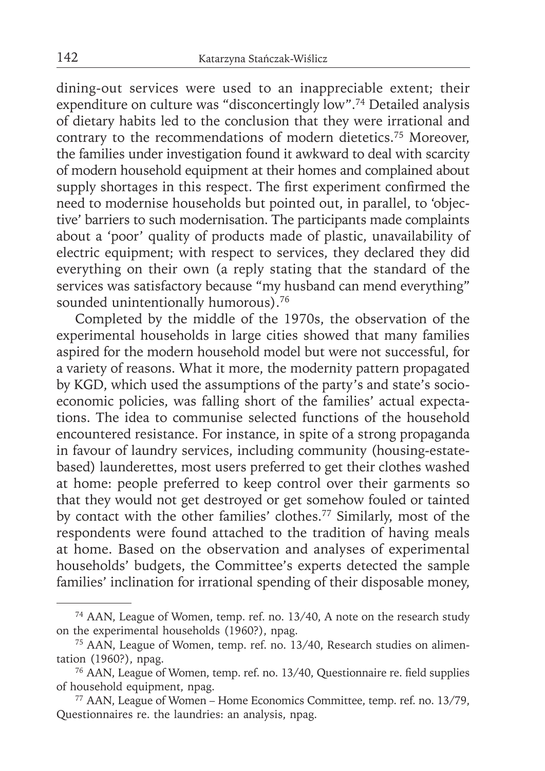dining-out services were used to an inappreciable extent; their expenditure on culture was "disconcertingly low".74 Detailed analysis of dietary habits led to the conclusion that they were irrational and contrary to the recommendations of modern dietetics.75 Moreover, the families under investigation found it awkward to deal with scarcity of modern household equipment at their homes and complained about supply shortages in this respect. The first experiment confirmed the need to modernise households but pointed out, in parallel, to 'objective' barriers to such modernisation. The participants made complaints about a 'poor' quality of products made of plastic, unavailability of electric equipment; with respect to services, they declared they did everything on their own (a reply stating that the standard of the services was satisfactory because "my husband can mend everything" sounded unintentionally humorous).<sup>76</sup>

Completed by the middle of the 1970s, the observation of the experimental households in large cities showed that many families aspired for the modern household model but were not successful, for a variety of reasons. What it more, the modernity pattern propagated by KGD, which used the assumptions of the party's and state's socioeconomic policies, was falling short of the families' actual expectations. The idea to communise selected functions of the household encountered resistance. For instance, in spite of a strong propaganda in favour of laundry services, including community (housing-estatebased) launderettes, most users preferred to get their clothes washed at home: people preferred to keep control over their garments so that they would not get destroyed or get somehow fouled or tainted by contact with the other families' clothes.77 Similarly, most of the respondents were found attached to the tradition of having meals at home. Based on the observation and analyses of experimental households' budgets, the Committee's experts detected the sample families' inclination for irrational spending of their disposable money,

<sup>74</sup> AAN, League of Women, temp. ref. no. 13/40, A note on the research study on the experimental households (1960?), npag.

<sup>75</sup> AAN, League of Women, temp. ref. no. 13/40, Research studies on alimentation (1960?), npag.

<sup>&</sup>lt;sup>76</sup> AAN, League of Women, temp. ref. no. 13/40, Questionnaire re. field supplies of household equipment, npag.

<sup>77</sup> AAN, League of Women – Home Economics Committee, temp. ref. no. 13/79, Questionnaires re. the laundries: an analysis, npag.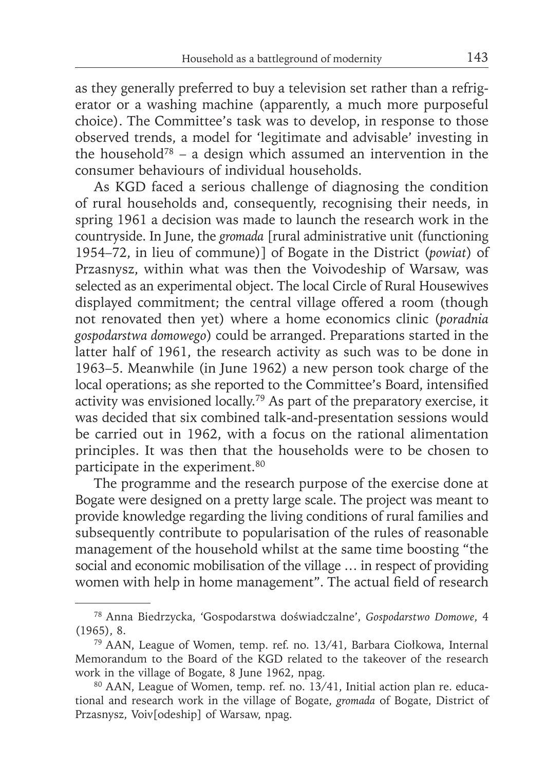as they generally preferred to buy a television set rather than a refrigerator or a washing machine (apparently, a much more purposeful choice). The Committee's task was to develop, in response to those observed trends, a model for 'legitimate and advisable' investing in the household<sup>78</sup> – a design which assumed an intervention in the consumer behaviours of individual households.

As KGD faced a serious challenge of diagnosing the condition of rural households and, consequently, recognising their needs, in spring 1961 a decision was made to launch the research work in the countryside. In June, the *gromada* [rural administrative unit (functioning 1954–72, in lieu of commune)] of Bogate in the District (*powiat*) of Przasnysz, within what was then the Voivodeship of Warsaw, was selected as an experimental object. The local Circle of Rural Housewives displayed commitment; the central village offered a room (though not renovated then yet) where a home economics clinic (*poradnia gospodarstwa domowego*) could be arranged. Preparations started in the latter half of 1961, the research activity as such was to be done in 1963–5. Meanwhile (in June 1962) a new person took charge of the local operations; as she reported to the Committee's Board, intensified activity was envisioned locally.79 As part of the preparatory exercise, it was decided that six combined talk-and-presentation sessions would be carried out in 1962, with a focus on the rational alimentation principles. It was then that the households were to be chosen to participate in the experiment.<sup>80</sup>

The programme and the research purpose of the exercise done at Bogate were designed on a pretty large scale. The project was meant to provide knowledge regarding the living conditions of rural families and subsequently contribute to popularisation of the rules of reasonable management of the household whilst at the same time boosting "the social and economic mobilisation of the village … in respect of providing women with help in home management". The actual field of research

<sup>78</sup> Anna Biedrzycka, 'Gospodarstwa doświadczalne', *Gospodarstwo Domowe*, 4 (1965), 8.

<sup>79</sup> AAN, League of Women, temp. ref. no. 13/41, Barbara Ciołkowa, Internal Memorandum to the Board of the KGD related to the takeover of the research work in the village of Bogate, 8 June 1962, npag.

<sup>80</sup> AAN, League of Women, temp. ref. no. 13/41, Initial action plan re. educational and research work in the village of Bogate, *gromada* of Bogate, District of Przasnysz, Voiv[odeship] of Warsaw, npag.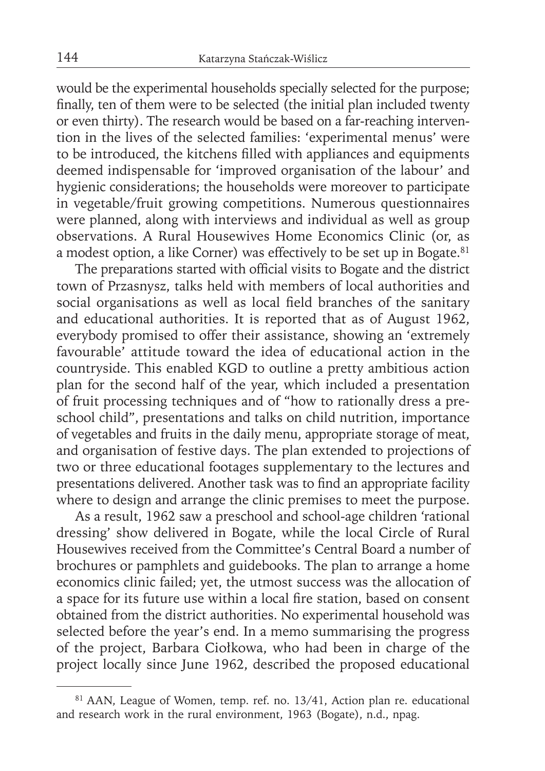would be the experimental households specially selected for the purpose; finally, ten of them were to be selected (the initial plan included twenty or even thirty). The research would be based on a far-reaching intervention in the lives of the selected families: 'experimental menus' were to be introduced, the kitchens filled with appliances and equipments deemed indispensable for 'improved organisation of the labour' and hygienic considerations; the households were moreover to participate in vegetable/fruit growing competitions. Numerous questionnaires were planned, along with interviews and individual as well as group observations. A Rural Housewives Home Economics Clinic (or, as a modest option, a like Corner) was effectively to be set up in Bogate.<sup>81</sup>

The preparations started with official visits to Bogate and the district town of Przasnysz, talks held with members of local authorities and social organisations as well as local field branches of the sanitary and educational authorities. It is reported that as of August 1962, everybody promised to offer their assistance, showing an 'extremely favourable' attitude toward the idea of educational action in the countryside. This enabled KGD to outline a pretty ambitious action plan for the second half of the year, which included a presentation of fruit processing techniques and of "how to rationally dress a preschool child", presentations and talks on child nutrition, importance of vegetables and fruits in the daily menu, appropriate storage of meat, and organisation of festive days. The plan extended to projections of two or three educational footages supplementary to the lectures and presentations delivered. Another task was to find an appropriate facility where to design and arrange the clinic premises to meet the purpose.

As a result, 1962 saw a preschool and school-age children 'rational dressing' show delivered in Bogate, while the local Circle of Rural Housewives received from the Committee's Central Board a number of brochures or pamphlets and guidebooks. The plan to arrange a home economics clinic failed; yet, the utmost success was the allocation of a space for its future use within a local fire station, based on consent obtained from the district authorities. No experimental household was selected before the year's end. In a memo summarising the progress of the project, Barbara Ciołkowa, who had been in charge of the project locally since June 1962, described the proposed educational

<sup>81</sup> AAN, League of Women, temp. ref. no. 13/41, Action plan re. educational and research work in the rural environment, 1963 (Bogate), n.d., npag.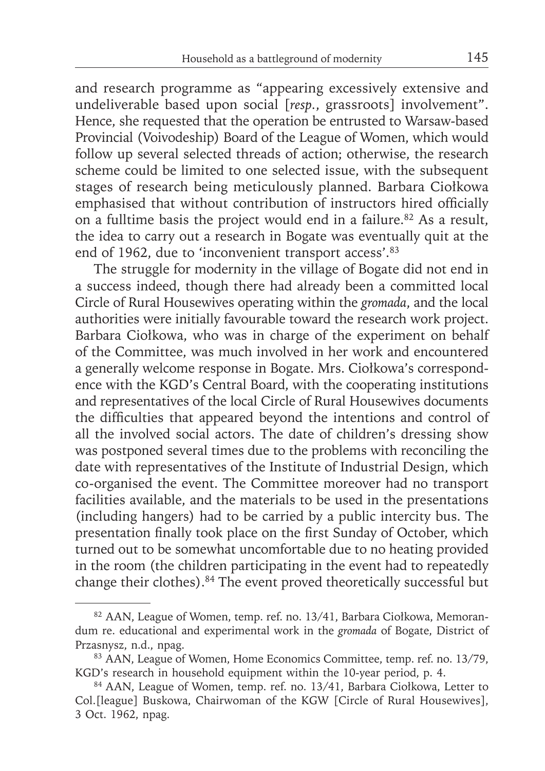and research programme as "appearing excessively extensive and undeliverable based upon social [*resp.*, grassroots] involvement". Hence, she requested that the operation be entrusted to Warsaw-based Provincial (Voivodeship) Board of the League of Women, which would follow up several selected threads of action; otherwise, the research scheme could be limited to one selected issue, with the subsequent stages of research being meticulously planned. Barbara Ciołkowa emphasised that without contribution of instructors hired officially on a fulltime basis the project would end in a failure.82 As a result, the idea to carry out a research in Bogate was eventually quit at the end of 1962, due to 'inconvenient transport access'.<sup>83</sup>

The struggle for modernity in the village of Bogate did not end in a success indeed, though there had already been a committed local Circle of Rural Housewives operating within the *gromada*, and the local authorities were initially favourable toward the research work project. Barbara Ciołkowa, who was in charge of the experiment on behalf of the Committee, was much involved in her work and encountered a generally welcome response in Bogate. Mrs. Ciołkowa's correspondence with the KGD's Central Board, with the cooperating institutions and representatives of the local Circle of Rural Housewives documents the difficulties that appeared beyond the intentions and control of all the involved social actors. The date of children's dressing show was postponed several times due to the problems with reconciling the date with representatives of the Institute of Industrial Design, which co-organised the event. The Committee moreover had no transport facilities available, and the materials to be used in the presentations (including hangers) had to be carried by a public intercity bus. The presentation finally took place on the first Sunday of October, which turned out to be somewhat uncomfortable due to no heating provided in the room (the children participating in the event had to repeatedly change their clothes).84 The event proved theoretically successful but

<sup>82</sup> AAN, League of Women, temp. ref. no. 13/41, Barbara Ciołkowa, Memorandum re. educational and experimental work in the *gromada* of Bogate, District of Przasnysz, n.d., npag.

<sup>&</sup>lt;sup>83</sup> AAN, League of Women, Home Economics Committee, temp. ref. no. 13/79, KGD's research in household equipment within the 10-year period, p. 4.

<sup>84</sup> AAN, League of Women, temp. ref. no. 13/41, Barbara Ciołkowa, Letter to Col.[league] Buskowa, Chairwoman of the KGW [Circle of Rural Housewives], 3 Oct. 1962, npag.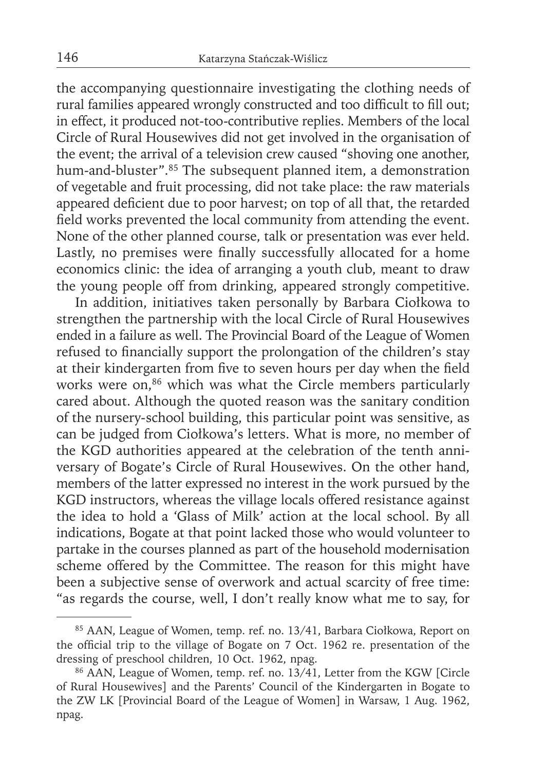the accompanying questionnaire investigating the clothing needs of rural families appeared wrongly constructed and too difficult to fill out; in effect, it produced not-too-contributive replies. Members of the local Circle of Rural Housewives did not get involved in the organisation of the event; the arrival of a television crew caused "shoving one another, hum-and-bluster".85 The subsequent planned item, a demonstration of vegetable and fruit processing, did not take place: the raw materials appeared deficient due to poor harvest; on top of all that, the retarded field works prevented the local community from attending the event. None of the other planned course, talk or presentation was ever held. Lastly, no premises were finally successfully allocated for a home economics clinic: the idea of arranging a youth club, meant to draw the young people off from drinking, appeared strongly competitive.

In addition, initiatives taken personally by Barbara Ciołkowa to strengthen the partnership with the local Circle of Rural Housewives ended in a failure as well. The Provincial Board of the League of Women refused to financially support the prolongation of the children's stay at their kindergarten from five to seven hours per day when the field works were on,<sup>86</sup> which was what the Circle members particularly cared about. Although the quoted reason was the sanitary condition of the nursery-school building, this particular point was sensitive, as can be judged from Ciołkowa's letters. What is more, no member of the KGD authorities appeared at the celebration of the tenth anniversary of Bogate's Circle of Rural Housewives. On the other hand, members of the latter expressed no interest in the work pursued by the KGD instructors, whereas the village locals offered resistance against the idea to hold a 'Glass of Milk' action at the local school. By all indications, Bogate at that point lacked those who would volunteer to partake in the courses planned as part of the household modernisation scheme offered by the Committee. The reason for this might have been a subjective sense of overwork and actual scarcity of free time: "as regards the course, well, I don't really know what me to say, for

<sup>85</sup> AAN, League of Women, temp. ref. no. 13/41, Barbara Ciołkowa, Report on the official trip to the village of Bogate on 7 Oct. 1962 re. presentation of the dressing of preschool children, 10 Oct. 1962, npag.

<sup>86</sup> AAN, League of Women, temp. ref. no. 13/41, Letter from the KGW [Circle of Rural Housewives] and the Parents' Council of the Kindergarten in Bogate to the ZW LK [Provincial Board of the League of Women] in Warsaw, 1 Aug. 1962, npag.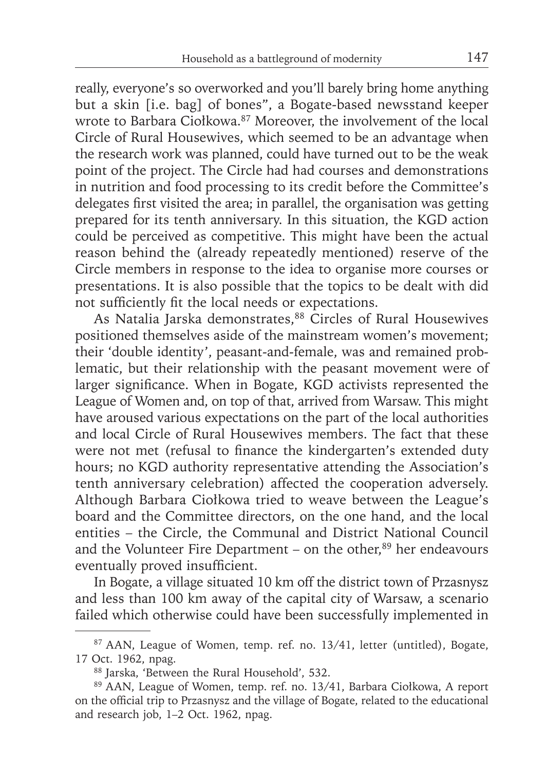really, everyone's so overworked and you'll barely bring home anything but a skin [i.e. bag] of bones", a Bogate-based newsstand keeper wrote to Barbara Ciołkowa.<sup>87</sup> Moreover, the involvement of the local Circle of Rural Housewives, which seemed to be an advantage when the research work was planned, could have turned out to be the weak point of the project. The Circle had had courses and demonstrations in nutrition and food processing to its credit before the Committee's delegates first visited the area; in parallel, the organisation was getting prepared for its tenth anniversary. In this situation, the KGD action could be perceived as competitive. This might have been the actual reason behind the (already repeatedly mentioned) reserve of the Circle members in response to the idea to organise more courses or presentations. It is also possible that the topics to be dealt with did not sufficiently fit the local needs or expectations.

As Natalia Jarska demonstrates,<sup>88</sup> Circles of Rural Housewives positioned themselves aside of the mainstream women's movement; their 'double identity', peasant-and-female, was and remained problematic, but their relationship with the peasant movement were of larger significance. When in Bogate, KGD activists represented the League of Women and, on top of that, arrived from Warsaw. This might have aroused various expectations on the part of the local authorities and local Circle of Rural Housewives members. The fact that these were not met (refusal to finance the kindergarten's extended duty hours; no KGD authority representative attending the Association's tenth anniversary celebration) affected the cooperation adversely. Although Barbara Ciołkowa tried to weave between the League's board and the Committee directors, on the one hand, and the local entities – the Circle, the Communal and District National Council and the Volunteer Fire Department – on the other, $89$  her endeavours eventually proved insufficient.

In Bogate, a village situated 10 km off the district town of Przasnysz and less than 100 km away of the capital city of Warsaw, a scenario failed which otherwise could have been successfully implemented in

<sup>87</sup> AAN, League of Women, temp. ref. no. 13/41, letter (untitled), Bogate, 17 Oct. 1962, npag.

<sup>88</sup> Jarska, 'Between the Rural Household', 532.

<sup>89</sup> AAN, League of Women, temp. ref. no. 13/41, Barbara Ciołkowa, A report on the official trip to Przasnysz and the village of Bogate, related to the educational and research job, 1–2 Oct. 1962, npag.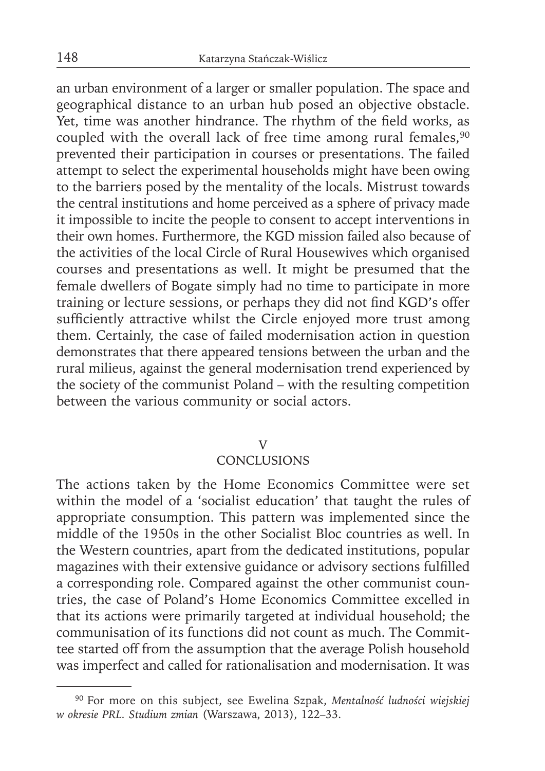an urban environment of a larger or smaller population. The space and geographical distance to an urban hub posed an objective obstacle. Yet, time was another hindrance. The rhythm of the field works, as coupled with the overall lack of free time among rural females,<sup>90</sup> prevented their participation in courses or presentations. The failed attempt to select the experimental households might have been owing to the barriers posed by the mentality of the locals. Mistrust towards the central institutions and home perceived as a sphere of privacy made it impossible to incite the people to consent to accept interventions in their own homes. Furthermore, the KGD mission failed also because of the activities of the local Circle of Rural Housewives which organised courses and presentations as well. It might be presumed that the female dwellers of Bogate simply had no time to participate in more training or lecture sessions, or perhaps they did not find KGD's offer sufficiently attractive whilst the Circle enjoyed more trust among them. Certainly, the case of failed modernisation action in question demonstrates that there appeared tensions between the urban and the rural milieus, against the general modernisation trend experienced by the society of the communist Poland – with the resulting competition between the various community or social actors.

#### V

## **CONCLUSIONS**

The actions taken by the Home Economics Committee were set within the model of a 'socialist education' that taught the rules of appropriate consumption. This pattern was implemented since the middle of the 1950s in the other Socialist Bloc countries as well. In the Western countries, apart from the dedicated institutions, popular magazines with their extensive guidance or advisory sections fulfilled a corresponding role. Compared against the other communist countries, the case of Poland's Home Economics Committee excelled in that its actions were primarily targeted at individual household; the communisation of its functions did not count as much. The Committee started off from the assumption that the average Polish household was imperfect and called for rationalisation and modernisation. It was

<sup>90</sup> For more on this subject, see Ewelina Szpak, *Mentalność ludności wiejskiej w okresie PRL. Studium zmian* (Warszawa, 2013), 122–33.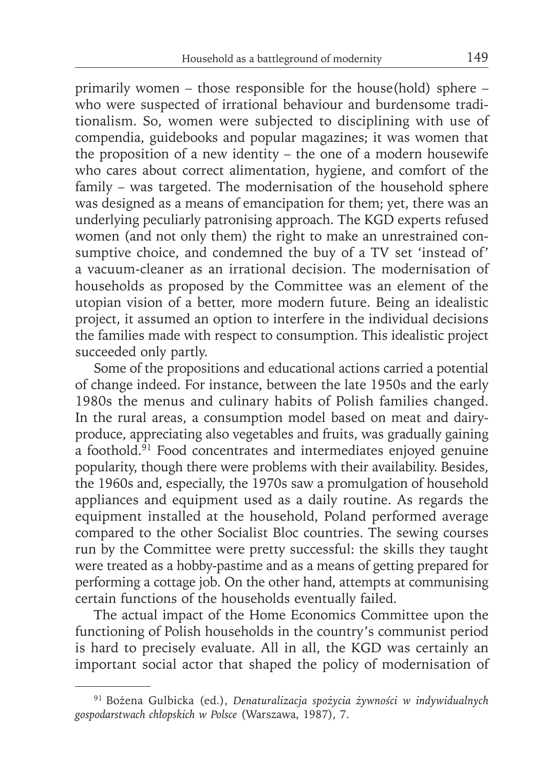primarily women – those responsible for the house(hold) sphere – who were suspected of irrational behaviour and burdensome traditionalism. So, women were subjected to disciplining with use of compendia, guidebooks and popular magazines; it was women that the proposition of a new identity – the one of a modern housewife who cares about correct alimentation, hygiene, and comfort of the family – was targeted. The modernisation of the household sphere was designed as a means of emancipation for them; yet, there was an underlying peculiarly patronising approach. The KGD experts refused women (and not only them) the right to make an unrestrained consumptive choice, and condemned the buy of a TV set 'instead of' a vacuum-cleaner as an irrational decision. The modernisation of households as proposed by the Committee was an element of the utopian vision of a better, more modern future. Being an idealistic project, it assumed an option to interfere in the individual decisions the families made with respect to consumption. This idealistic project succeeded only partly.

Some of the propositions and educational actions carried a potential of change indeed. For instance, between the late 1950s and the early 1980s the menus and culinary habits of Polish families changed. In the rural areas, a consumption model based on meat and dairyproduce, appreciating also vegetables and fruits, was gradually gaining a foothold.<sup>91</sup> Food concentrates and intermediates enjoyed genuine popularity, though there were problems with their availability. Besides, the 1960s and, especially, the 1970s saw a promulgation of household appliances and equipment used as a daily routine. As regards the equipment installed at the household, Poland performed average compared to the other Socialist Bloc countries. The sewing courses run by the Committee were pretty successful: the skills they taught were treated as a hobby-pastime and as a means of getting prepared for performing a cottage job. On the other hand, attempts at communising certain functions of the households eventually failed.

The actual impact of the Home Economics Committee upon the functioning of Polish households in the country's communist period is hard to precisely evaluate. All in all, the KGD was certainly an important social actor that shaped the policy of modernisation of

<sup>91</sup> Bożena Gulbicka (ed.), *Denaturalizacja spożycia żywności w indywidualnych gospodarstwach chłopskich w Polsce* (Warszawa, 1987), 7.